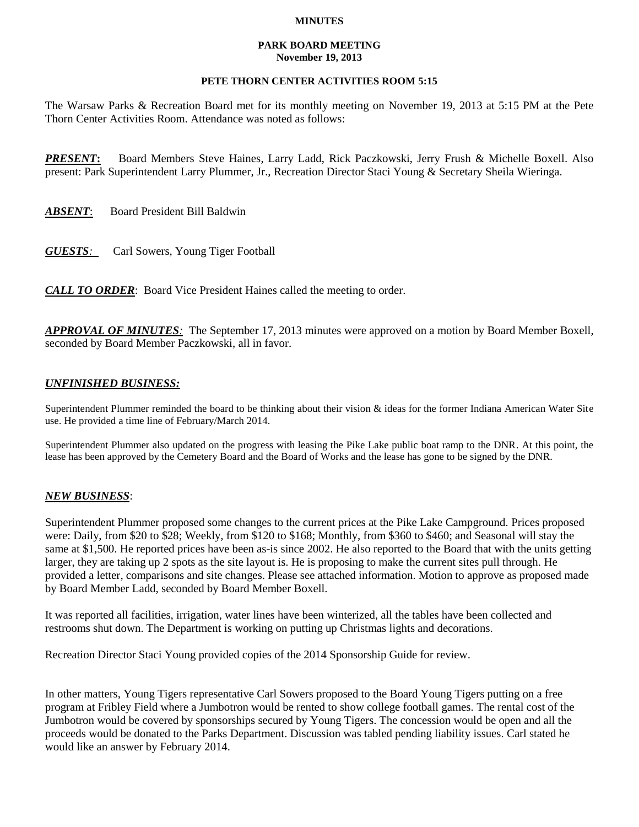### **MINUTES**

#### **PARK BOARD MEETING November 19, 2013**

## **PETE THORN CENTER ACTIVITIES ROOM 5:15**

The Warsaw Parks & Recreation Board met for its monthly meeting on November 19, 2013 at 5:15 PM at the Pete Thorn Center Activities Room. Attendance was noted as follows:

*PRESENT***:** Board Members Steve Haines, Larry Ladd, Rick Paczkowski, Jerry Frush & Michelle Boxell. Also present: Park Superintendent Larry Plummer, Jr., Recreation Director Staci Young & Secretary Sheila Wieringa.

*ABSENT*: Board President Bill Baldwin

*GUESTS:*Carl Sowers, Young Tiger Football

*CALL TO ORDER*: Board Vice President Haines called the meeting to order.

*APPROVAL OF MINUTES:* The September 17, 2013 minutes were approved on a motion by Board Member Boxell, seconded by Board Member Paczkowski, all in favor.

# *UNFINISHED BUSINESS:*

Superintendent Plummer reminded the board to be thinking about their vision & ideas for the former Indiana American Water Site use. He provided a time line of February/March 2014.

Superintendent Plummer also updated on the progress with leasing the Pike Lake public boat ramp to the DNR. At this point, the lease has been approved by the Cemetery Board and the Board of Works and the lease has gone to be signed by the DNR.

### *NEW BUSINESS*:

Superintendent Plummer proposed some changes to the current prices at the Pike Lake Campground. Prices proposed were: Daily, from \$20 to \$28; Weekly, from \$120 to \$168; Monthly, from \$360 to \$460; and Seasonal will stay the same at \$1,500. He reported prices have been as-is since 2002. He also reported to the Board that with the units getting larger, they are taking up 2 spots as the site layout is. He is proposing to make the current sites pull through. He provided a letter, comparisons and site changes. Please see attached information. Motion to approve as proposed made by Board Member Ladd, seconded by Board Member Boxell.

It was reported all facilities, irrigation, water lines have been winterized, all the tables have been collected and restrooms shut down. The Department is working on putting up Christmas lights and decorations.

Recreation Director Staci Young provided copies of the 2014 Sponsorship Guide for review.

In other matters, Young Tigers representative Carl Sowers proposed to the Board Young Tigers putting on a free program at Fribley Field where a Jumbotron would be rented to show college football games. The rental cost of the Jumbotron would be covered by sponsorships secured by Young Tigers. The concession would be open and all the proceeds would be donated to the Parks Department. Discussion was tabled pending liability issues. Carl stated he would like an answer by February 2014.